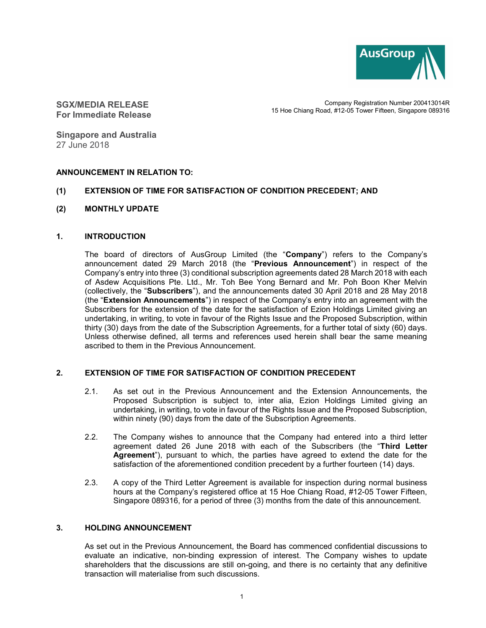

SGX/MEDIA RELEASE For Immediate Release

Company Registration Number 200413014R 15 Hoe Chiang Road, #12-05 Tower Fifteen, Singapore 089316

Singapore and Australia 27 June 2018

# ANNOUNCEMENT IN RELATION TO:

# (1) EXTENSION OF TIME FOR SATISFACTION OF CONDITION PRECEDENT; AND

(2) MONTHLY UPDATE

# 1. INTRODUCTION

The board of directors of AusGroup Limited (the "Company") refers to the Company's announcement dated 29 March 2018 (the "Previous Announcement") in respect of the Company's entry into three (3) conditional subscription agreements dated 28 March 2018 with each of Asdew Acquisitions Pte. Ltd., Mr. Toh Bee Yong Bernard and Mr. Poh Boon Kher Melvin (collectively, the "Subscribers"), and the announcements dated 30 April 2018 and 28 May 2018 (the "Extension Announcements") in respect of the Company's entry into an agreement with the Subscribers for the extension of the date for the satisfaction of Ezion Holdings Limited giving an undertaking, in writing, to vote in favour of the Rights Issue and the Proposed Subscription, within thirty (30) days from the date of the Subscription Agreements, for a further total of sixty (60) days. Unless otherwise defined, all terms and references used herein shall bear the same meaning ascribed to them in the Previous Announcement.

# 2. EXTENSION OF TIME FOR SATISFACTION OF CONDITION PRECEDENT

- 2.1. As set out in the Previous Announcement and the Extension Announcements, the Proposed Subscription is subject to, inter alia, Ezion Holdings Limited giving an undertaking, in writing, to vote in favour of the Rights Issue and the Proposed Subscription, within ninety (90) days from the date of the Subscription Agreements.
- 2.2. The Company wishes to announce that the Company had entered into a third letter agreement dated 26 June 2018 with each of the Subscribers (the "Third Letter Agreement"), pursuant to which, the parties have agreed to extend the date for the satisfaction of the aforementioned condition precedent by a further fourteen (14) days.
- 2.3. A copy of the Third Letter Agreement is available for inspection during normal business hours at the Company's registered office at 15 Hoe Chiang Road, #12-05 Tower Fifteen, Singapore 089316, for a period of three (3) months from the date of this announcement.

# 3. HOLDING ANNOUNCEMENT

As set out in the Previous Announcement, the Board has commenced confidential discussions to evaluate an indicative, non-binding expression of interest. The Company wishes to update shareholders that the discussions are still on-going, and there is no certainty that any definitive transaction will materialise from such discussions.